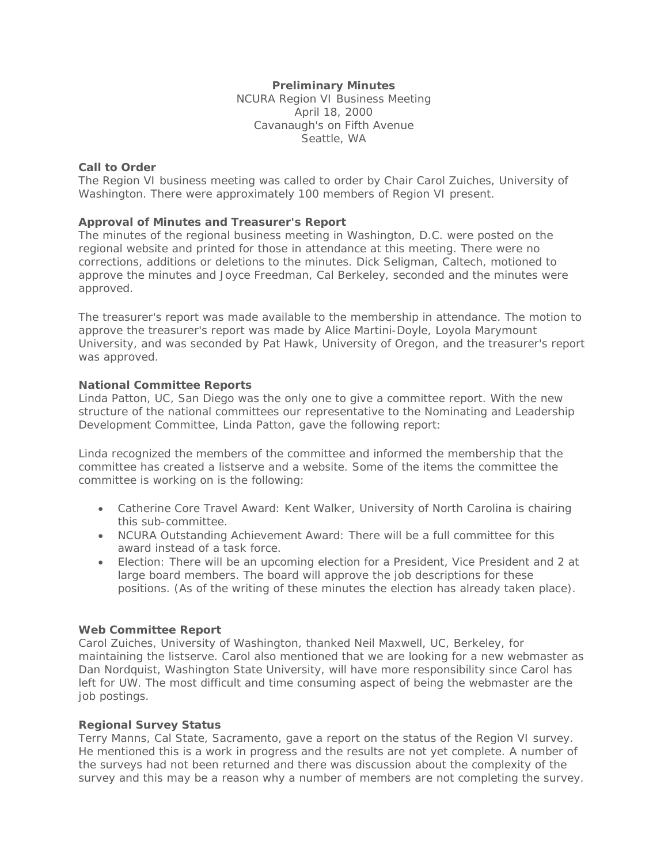# **Preliminary Minutes**

NCURA Region VI Business Meeting April 18, 2000 Cavanaugh's on Fifth Avenue Seattle, WA

### **Call to Order**

The Region VI business meeting was called to order by Chair Carol Zuiches, University of Washington. There were approximately 100 members of Region VI present.

# **Approval of Minutes and Treasurer's Report**

The minutes of the regional business meeting in Washington, D.C. were posted on the regional website and printed for those in attendance at this meeting. There were no corrections, additions or deletions to the minutes. Dick Seligman, Caltech, motioned to approve the minutes and Joyce Freedman, Cal Berkeley, seconded and the minutes were approved.

The treasurer's report was made available to the membership in attendance. The motion to approve the treasurer's report was made by Alice Martini-Doyle, Loyola Marymount University, and was seconded by Pat Hawk, University of Oregon, and the treasurer's report was approved.

## **National Committee Reports**

Linda Patton, UC, San Diego was the only one to give a committee report. With the new structure of the national committees our representative to the Nominating and Leadership Development Committee, Linda Patton, gave the following report:

Linda recognized the members of the committee and informed the membership that the committee has created a listserve and a website. Some of the items the committee the committee is working on is the following:

- Catherine Core Travel Award: Kent Walker, University of North Carolina is chairing this sub-committee.
- NCURA Outstanding Achievement Award: There will be a full committee for this award instead of a task force.
- Election: There will be an upcoming election for a President, Vice President and 2 at large board members. The board will approve the job descriptions for these positions. (As of the writing of these minutes the election has already taken place).

### **Web Committee Report**

Carol Zuiches, University of Washington, thanked Neil Maxwell, UC, Berkeley, for maintaining the listserve. Carol also mentioned that we are looking for a new webmaster as Dan Nordquist, Washington State University, will have more responsibility since Carol has left for UW. The most difficult and time consuming aspect of being the webmaster are the job postings.

### **Regional Survey Status**

Terry Manns, Cal State, Sacramento, gave a report on the status of the Region VI survey. He mentioned this is a work in progress and the results are not yet complete. A number of the surveys had not been returned and there was discussion about the complexity of the survey and this may be a reason why a number of members are not completing the survey.